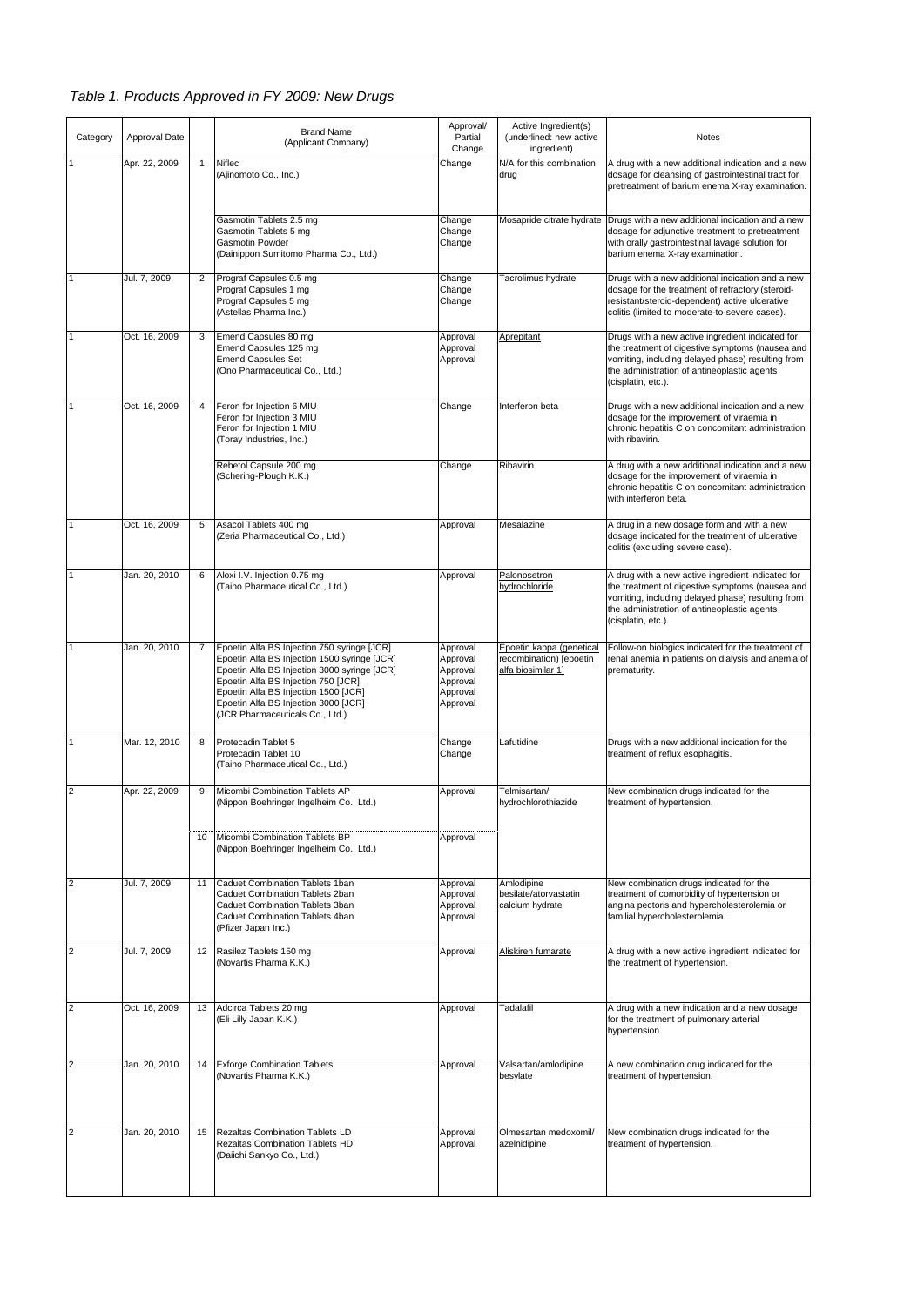## *Table 1. Products Approved in FY 2009: New Drugs*

| Category                | Approval Date |    | <b>Brand Name</b><br>(Applicant Company)                                                                                                                                                                                                                                                              | Approval/<br>Partial<br>Change                                       | Active Ingredient(s)<br>(underlined: new active<br>ingredient)            | Notes                                                                                                                                                                                                                          |
|-------------------------|---------------|----|-------------------------------------------------------------------------------------------------------------------------------------------------------------------------------------------------------------------------------------------------------------------------------------------------------|----------------------------------------------------------------------|---------------------------------------------------------------------------|--------------------------------------------------------------------------------------------------------------------------------------------------------------------------------------------------------------------------------|
| 1                       | Apr. 22, 2009 | 1  | Niflec<br>(Ajinomoto Co., Inc.)                                                                                                                                                                                                                                                                       | Change                                                               | N/A for this combination<br>drug                                          | A drug with a new additional indication and a new<br>dosage for cleansing of gastrointestinal tract for<br>pretreatment of barium enema X-ray examination.                                                                     |
|                         |               |    | Gasmotin Tablets 2.5 mg<br>Gasmotin Tablets 5 mg<br><b>Gasmotin Powder</b><br>(Dainippon Sumitomo Pharma Co., Ltd.)                                                                                                                                                                                   | Change<br>Change<br>Change                                           | Mosapride citrate hydrate                                                 | Drugs with a new additional indication and a new<br>dosage for adjunctive treatment to pretreatment<br>with orally gastrointestinal lavage solution for<br>barium enema X-ray examination.                                     |
| $\mathbf{1}$            | Jul. 7, 2009  | 2  | Prograf Capsules 0.5 mg<br>Prograf Capsules 1 mg<br>Prograf Capsules 5 mg<br>(Astellas Pharma Inc.)                                                                                                                                                                                                   | Change<br>Change<br>Change                                           | Tacrolimus hydrate                                                        | Drugs with a new additional indication and a new<br>dosage for the treatment of refractory (steroid-<br>resistant/steroid-dependent) active ulcerative<br>colitis (limited to moderate-to-severe cases).                       |
| $\mathbf{1}$            | Oct. 16, 2009 | 3  | Emend Capsules 80 mg<br>Emend Capsules 125 mg<br><b>Emend Capsules Set</b><br>(Ono Pharmaceutical Co., Ltd.)                                                                                                                                                                                          | Approval<br>Approval<br>Approval                                     | Aprepitant                                                                | Drugs with a new active ingredient indicated for<br>the treatment of digestive symptoms (nausea and<br>vomiting, including delayed phase) resulting from<br>the administration of antineoplastic agents<br>(cisplatin, etc.).  |
| $\overline{1}$          | Oct. 16, 2009 |    | Feron for Injection 6 MIU<br>Feron for Injection 3 MIU<br>Feron for Injection 1 MIU<br>(Toray Industries, Inc.)                                                                                                                                                                                       | Change                                                               | Interferon beta                                                           | Drugs with a new additional indication and a new<br>dosage for the improvement of viraemia in<br>chronic hepatitis C on concomitant administration<br>with ribavirin.                                                          |
|                         |               |    | Rebetol Capsule 200 mg<br>(Schering-Plough K.K.)                                                                                                                                                                                                                                                      | Change                                                               | Ribavirin                                                                 | A drug with a new additional indication and a new<br>dosage for the improvement of viraemia in<br>chronic hepatitis C on concomitant administration<br>with interferon beta.                                                   |
| $\mathbf{1}$            | Oct. 16, 2009 | 5  | Asacol Tablets 400 mg<br>(Zeria Pharmaceutical Co., Ltd.)                                                                                                                                                                                                                                             | Approval                                                             | Mesalazine                                                                | A drug in a new dosage form and with a new<br>dosage indicated for the treatment of ulcerative<br>colitis (excluding severe case).                                                                                             |
| $\mathbf{1}$            | Jan. 20, 2010 | 6  | Aloxi I.V. Injection 0.75 mg<br>(Taiho Pharmaceutical Co., Ltd.)                                                                                                                                                                                                                                      | Approval                                                             | Palonosetron<br>hydrochloride                                             | A drug with a new active ingredient indicated for<br>the treatment of digestive symptoms (nausea and<br>vomiting, including delayed phase) resulting from<br>the administration of antineoplastic agents<br>(cisplatin, etc.). |
| $\overline{1}$          | Jan. 20, 2010 | 7  | Epoetin Alfa BS Injection 750 syringe [JCR]<br>Epoetin Alfa BS Injection 1500 syringe [JCR]<br>Epoetin Alfa BS Injection 3000 syringe [JCR]<br>Epoetin Alfa BS Injection 750 [JCR]<br>Epoetin Alfa BS Injection 1500 [JCR]<br>Epoetin Alfa BS Injection 3000 [JCR]<br>(JCR Pharmaceuticals Co., Ltd.) | Approval<br>Approval<br>Approval<br>Approval<br>Approval<br>Approval | Epoetin kappa (genetical<br>recombination) [epoetin<br>alfa biosimilar 1] | Follow-on biologics indicated for the treatment of<br>renal anemia in patients on dialysis and anemia of<br>prematurity.                                                                                                       |
| $\overline{1}$          | Mar. 12, 2010 | 8  | Protecadin Tablet 5<br>Protecadin Tablet 10<br>(Taiho Pharmaceutical Co., Ltd.)                                                                                                                                                                                                                       | Change<br>Change                                                     | Lafutidine                                                                | Drugs with a new additional indication for the<br>treatment of reflux esophagitis.                                                                                                                                             |
| $\overline{c}$          | Apr. 22, 2009 | 9  | Micombi Combination Tablets AP<br>(Nippon Boehringer Ingelheim Co., Ltd.)                                                                                                                                                                                                                             | Approval                                                             | Telmisartan/<br>hydrochlorothiazide                                       | New combination drugs indicated for the<br>treatment of hypertension.                                                                                                                                                          |
|                         |               | 10 | Micombi Combination Tablets BP<br>(Nippon Boehringer Ingelheim Co., Ltd.)                                                                                                                                                                                                                             | Approval                                                             |                                                                           |                                                                                                                                                                                                                                |
| $\overline{2}$          | Jul. 7, 2009  | 11 | Caduet Combination Tablets 1ban<br>Caduet Combination Tablets 2ban<br>Caduet Combination Tablets 3ban<br>Caduet Combination Tablets 4ban<br>(Pfizer Japan Inc.)                                                                                                                                       | Approval<br>Approval<br>Approval<br>Approval                         | Amlodipine<br>besilate/atorvastatin<br>calcium hydrate                    | New combination drugs indicated for the<br>treatment of comorbidity of hypertension or<br>angina pectoris and hypercholesterolemia or<br>familial hypercholesterolemia.                                                        |
| $\overline{2}$          | Jul. 7, 2009  | 12 | Rasilez Tablets 150 mg<br>(Novartis Pharma K.K.)                                                                                                                                                                                                                                                      | Approval                                                             | Aliskiren fumarate                                                        | A drug with a new active ingredient indicated for<br>the treatment of hypertension.                                                                                                                                            |
| $\overline{\mathbf{c}}$ | Oct. 16, 2009 | 13 | Adcirca Tablets 20 mg<br>(Eli Lilly Japan K.K.)                                                                                                                                                                                                                                                       | Approval                                                             | Tadalafil                                                                 | A drug with a new indication and a new dosage<br>for the treatment of pulmonary arterial<br>hypertension.                                                                                                                      |
| $\overline{c}$          | Jan. 20, 2010 | 14 | <b>Exforge Combination Tablets</b><br>(Novartis Pharma K.K.)                                                                                                                                                                                                                                          | Approval                                                             | Valsartan/amlodipine<br>besylate                                          | A new combination drug indicated for the<br>treatment of hypertension.                                                                                                                                                         |
| $\overline{c}$          | Jan. 20, 2010 | 15 | Rezaltas Combination Tablets LD<br>Rezaltas Combination Tablets HD<br>(Daiichi Sankyo Co., Ltd.)                                                                                                                                                                                                      | Approval<br>Approval                                                 | Olmesartan medoxomil/<br>azelnidipine                                     | New combination drugs indicated for the<br>treatment of hypertension.                                                                                                                                                          |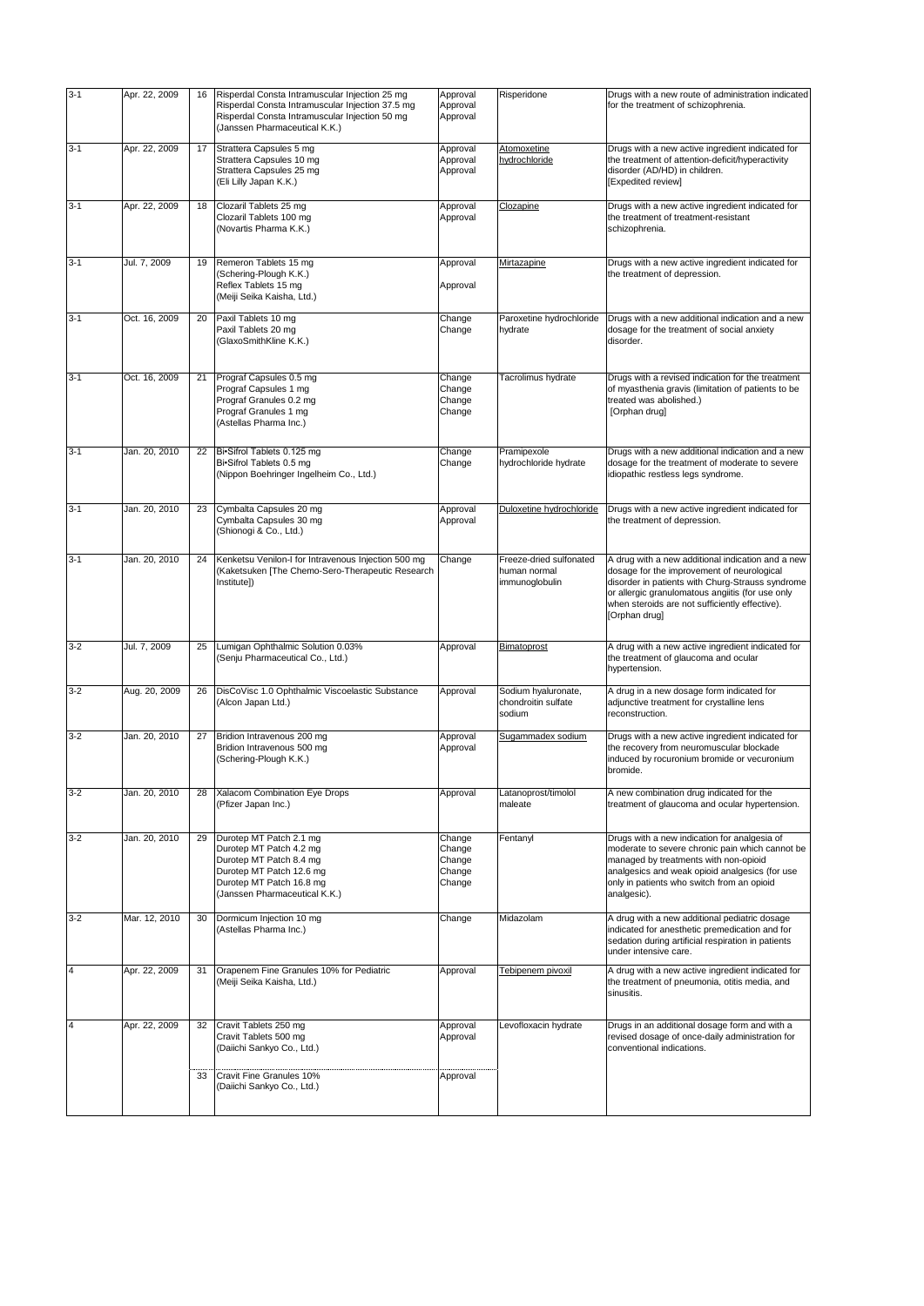| $3-1$                   | Apr. 22, 2009 | 16 | Risperdal Consta Intramuscular Injection 25 mg                                                                                                                         | Approval                                       | Risperidone                                               | Drugs with a new route of administration indicated                                                                                                                                                                                                                         |
|-------------------------|---------------|----|------------------------------------------------------------------------------------------------------------------------------------------------------------------------|------------------------------------------------|-----------------------------------------------------------|----------------------------------------------------------------------------------------------------------------------------------------------------------------------------------------------------------------------------------------------------------------------------|
|                         |               |    | Risperdal Consta Intramuscular Injection 37.5 mg<br>Risperdal Consta Intramuscular Injection 50 mg<br>(Janssen Pharmaceutical K.K.)                                    | Approval<br>Approval                           |                                                           | for the treatment of schizophrenia.                                                                                                                                                                                                                                        |
| $3-1$                   | Apr. 22, 2009 | 17 | Strattera Capsules 5 mg<br>Strattera Capsules 10 mg<br>Strattera Capsules 25 mg<br>(Eli Lilly Japan K.K.)                                                              | Approval<br>Approval<br>Approval               | Atomoxetine<br>hydrochloride                              | Drugs with a new active ingredient indicated for<br>the treatment of attention-deficit/hyperactivity<br>disorder (AD/HD) in children.<br>[Expedited review]                                                                                                                |
| $3-1$                   | Apr. 22, 2009 | 18 | Clozaril Tablets 25 mg<br>Clozaril Tablets 100 mg<br>(Novartis Pharma K.K.)                                                                                            | Approval<br>Approval                           | Clozapine                                                 | Drugs with a new active ingredient indicated for<br>the treatment of treatment-resistant<br>schizophrenia.                                                                                                                                                                 |
| $3-1$                   | Jul. 7, 2009  | 19 | Remeron Tablets 15 mg<br>(Schering-Plough K.K.)<br>Reflex Tablets 15 mg<br>(Meiji Seika Kaisha, Ltd.)                                                                  | Approval<br>Approval                           | Mirtazapine                                               | Drugs with a new active ingredient indicated for<br>the treatment of depression.                                                                                                                                                                                           |
| $3-1$                   | Oct. 16, 2009 | 20 | Paxil Tablets 10 mg<br>Paxil Tablets 20 mg<br>(GlaxoSmithKline K.K.)                                                                                                   | Change<br>Change                               | Paroxetine hydrochloride<br>hydrate                       | Drugs with a new additional indication and a new<br>dosage for the treatment of social anxiety<br>disorder.                                                                                                                                                                |
| $3-1$                   | Oct. 16, 2009 | 21 | Prograf Capsules 0.5 mg<br>Prograf Capsules 1 mg<br>Prograf Granules 0.2 mg<br>Prograf Granules 1 mg<br>(Astellas Pharma Inc.)                                         | Change<br>Change<br>Change<br>Change           | Tacrolimus hydrate                                        | Drugs with a revised indication for the treatment<br>of myasthenia gravis (limitation of patients to be<br>treated was abolished.)<br>[Orphan drug]                                                                                                                        |
| $3-1$                   | Jan. 20. 2010 | 22 | Bi•Sifrol Tablets 0.125 mg<br>Bi•Sifrol Tablets 0.5 mg<br>(Nippon Boehringer Ingelheim Co., Ltd.)                                                                      | Change<br>Change                               | Pramipexole<br>hydrochloride hydrate                      | Drugs with a new additional indication and a new<br>dosage for the treatment of moderate to severe<br>idiopathic restless legs syndrome.                                                                                                                                   |
| $3-1$                   | Jan. 20, 2010 | 23 | Cymbalta Capsules 20 mg<br>Cymbalta Capsules 30 mg<br>(Shionogi & Co., Ltd.)                                                                                           | Approval<br>Approval                           | Duloxetine hydrochloride                                  | Drugs with a new active ingredient indicated for<br>the treatment of depression.                                                                                                                                                                                           |
| $3-1$                   | Jan. 20, 2010 | 24 | Kenketsu Venilon-I for Intravenous Injection 500 mg<br>(Kaketsuken [The Chemo-Sero-Therapeutic Research<br>Institute])                                                 | Change                                         | Freeze-dried sulfonated<br>human normal<br>immunoglobulin | A drug with a new additional indication and a new<br>dosage for the improvement of neurological<br>disorder in patients with Churg-Strauss syndrome<br>or allergic granulomatous angiitis (for use only<br>when steroids are not sufficiently effective).<br>[Orphan drug] |
| $3-2$                   | Jul. 7, 2009  | 25 | Lumigan Ophthalmic Solution 0.03%<br>(Senju Pharmaceutical Co., Ltd.)                                                                                                  | Approval                                       | Bimatoprost                                               | A drug with a new active ingredient indicated for<br>the treatment of glaucoma and ocular<br>hypertension.                                                                                                                                                                 |
| $3-2$                   | Aug. 20, 2009 | 26 | DisCoVisc 1.0 Ophthalmic Viscoelastic Substance<br>(Alcon Japan Ltd.)                                                                                                  | Approval                                       | Sodium hyaluronate,<br>chondroitin sulfate<br>sodium      | A drug in a new dosage form indicated for<br>adjunctive treatment for crystalline lens<br>reconstruction.                                                                                                                                                                  |
| $3-2$                   | Jan. 20, 2010 | 27 | Bridion Intravenous 200 mg<br>Bridion Intravenous 500 mg<br>(Schering-Plough K.K.)                                                                                     | Approval<br>Approval                           | Sugammadex sodium                                         | Drugs with a new active ingredient indicated for<br>the recovery from neuromuscular blockade<br>induced by rocuronium bromide or vecuronium<br>bromide.                                                                                                                    |
| $3-2$                   | Jan. 20, 2010 | 28 | Xalacom Combination Eye Drops<br>(Pfizer Japan Inc.)                                                                                                                   | Approval                                       | Latanoprost/timolol<br>maleate                            | A new combination drug indicated for the<br>treatment of glaucoma and ocular hypertension.                                                                                                                                                                                 |
| $3-2$                   | Jan. 20, 2010 | 29 | Durotep MT Patch 2.1 mg<br>Durotep MT Patch 4.2 mg<br>Durotep MT Patch 8.4 mg<br>Durotep MT Patch 12.6 mg<br>Durotep MT Patch 16.8 mg<br>(Janssen Pharmaceutical K.K.) | Change<br>Change<br>Change<br>Change<br>Change | Fentanyl                                                  | Drugs with a new indication for analgesia of<br>moderate to severe chronic pain which cannot be<br>managed by treatments with non-opioid<br>analgesics and weak opioid analgesics (for use<br>only in patients who switch from an opioid<br>analgesic).                    |
| $3 - 2$                 | Mar. 12, 2010 | 30 | Dormicum Injection 10 mg<br>(Astellas Pharma Inc.)                                                                                                                     | Change                                         | Midazolam                                                 | A drug with a new additional pediatric dosage<br>indicated for anesthetic premedication and for<br>sedation during artificial respiration in patients<br>under intensive care.                                                                                             |
| 4                       | Apr. 22, 2009 | 31 | Orapenem Fine Granules 10% for Pediatric<br>(Meiji Seika Kaisha, Ltd.)                                                                                                 | Approval                                       | Tebipenem pivoxil                                         | A drug with a new active ingredient indicated for<br>the treatment of pneumonia, otitis media, and<br>sinusitis.                                                                                                                                                           |
| $\overline{\mathbf{4}}$ | Apr. 22, 2009 | 32 | Cravit Tablets 250 mg<br>Cravit Tablets 500 mg<br>(Daiichi Sankyo Co., Ltd.)                                                                                           | Approval<br>Approval                           | Levofloxacin hydrate                                      | Drugs in an additional dosage form and with a<br>revised dosage of once-daily administration for<br>conventional indications.                                                                                                                                              |
|                         |               | 33 | Cravit Fine Granules 10%<br>(Daiichi Sankyo Co., Ltd.)                                                                                                                 | Approval                                       |                                                           |                                                                                                                                                                                                                                                                            |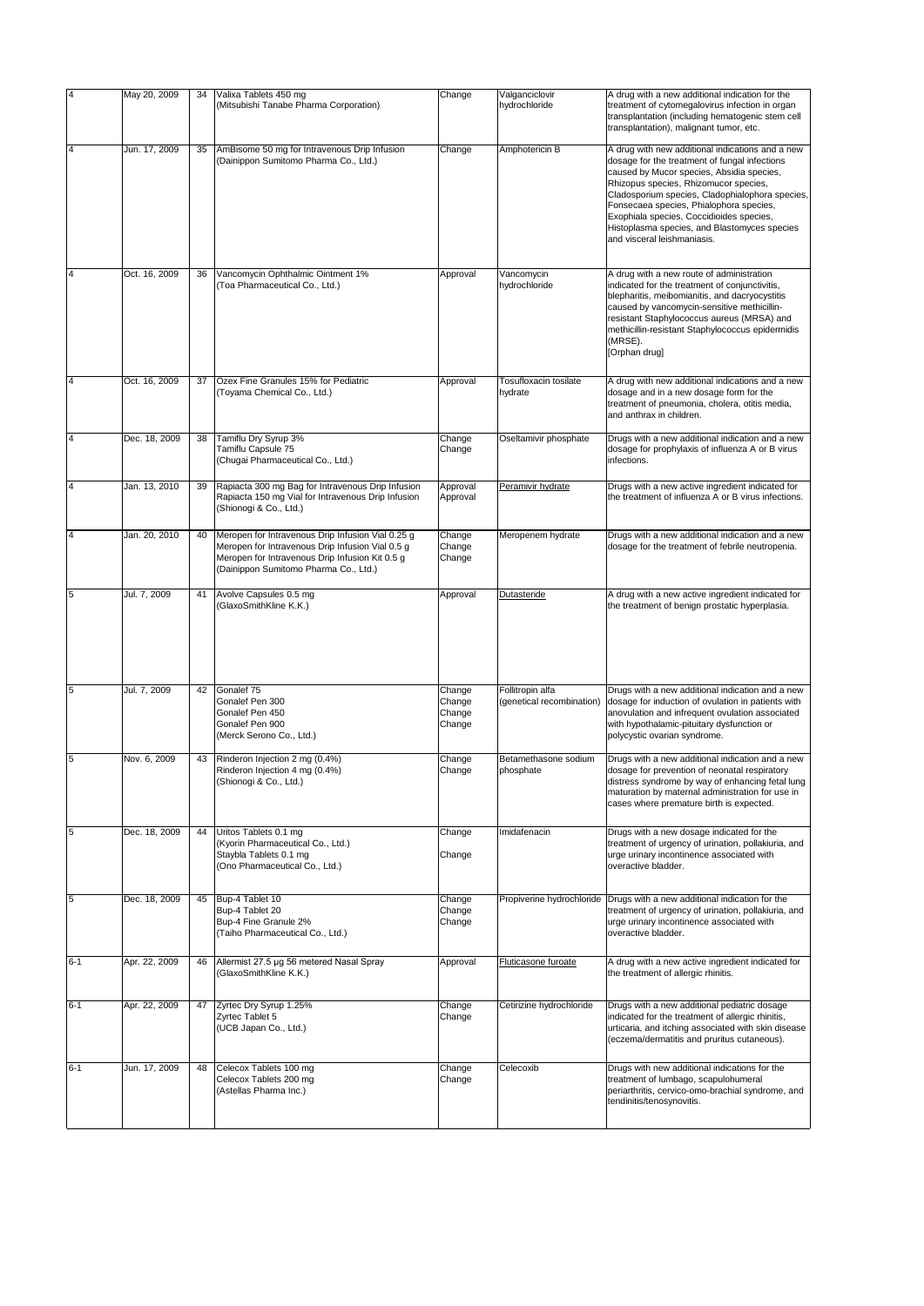| $\overline{4}$          | May 20, 2009  | 34 | Valixa Tablets 450 mg<br>(Mitsubishi Tanabe Pharma Corporation)                                                                                                                                   | Change                               | Valganciclovir<br>hydrochloride               | A drug with a new additional indication for the<br>treatment of cytomegalovirus infection in organ<br>transplantation (including hematogenic stem cell<br>transplantation), malignant tumor, etc.                                                                                                                                                                                                                |
|-------------------------|---------------|----|---------------------------------------------------------------------------------------------------------------------------------------------------------------------------------------------------|--------------------------------------|-----------------------------------------------|------------------------------------------------------------------------------------------------------------------------------------------------------------------------------------------------------------------------------------------------------------------------------------------------------------------------------------------------------------------------------------------------------------------|
| $\overline{\mathsf{4}}$ | Jun. 17, 2009 | 35 | AmBisome 50 mg for Intravenous Drip Infusion<br>(Dainippon Sumitomo Pharma Co., Ltd.)                                                                                                             | Change                               | Amphotericin B                                | A drug with new additional indications and a new<br>dosage for the treatment of fungal infections<br>caused by Mucor species, Absidia species,<br>Rhizopus species, Rhizomucor species,<br>Cladosporium species, Cladophialophora species,<br>Fonsecaea species, Phialophora species,<br>Exophiala species, Coccidioides species,<br>Histoplasma species, and Blastomyces species<br>and visceral leishmaniasis. |
| $\overline{4}$          | Oct. 16, 2009 | 36 | Vancomycin Ophthalmic Ointment 1%<br>(Toa Pharmaceutical Co., Ltd.)                                                                                                                               | Approval                             | Vancomycin<br>hydrochloride                   | A drug with a new route of administration<br>indicated for the treatment of conjunctivitis,<br>blepharitis, meibomianitis, and dacryocystitis<br>caused by vancomycin-sensitive methicillin-<br>resistant Staphylococcus aureus (MRSA) and<br>methicillin-resistant Staphylococcus epidermidis<br>(MRSE).<br>[Orphan drug]                                                                                       |
| $\overline{4}$          | Oct. 16, 2009 | 37 | Ozex Fine Granules 15% for Pediatric<br>(Toyama Chemical Co., Ltd.)                                                                                                                               | Approval                             | Tosufloxacin tosilate<br>hydrate              | A drug with new additional indications and a new<br>dosage and in a new dosage form for the<br>treatment of pneumonia, cholera, otitis media,<br>and anthrax in children.                                                                                                                                                                                                                                        |
| $\overline{\mathbf{4}}$ | Dec. 18, 2009 | 38 | Tamiflu Dry Syrup 3%<br>Tamiflu Capsule 75<br>(Chugai Pharmaceutical Co., Ltd.)                                                                                                                   | Change<br>Change                     | Oseltamivir phosphate                         | Drugs with a new additional indication and a new<br>dosage for prophylaxis of influenza A or B virus<br>infections.                                                                                                                                                                                                                                                                                              |
| $\overline{4}$          | Jan. 13, 2010 | 39 | Rapiacta 300 mg Bag for Intravenous Drip Infusion<br>Rapiacta 150 mg Vial for Intravenous Drip Infusion<br>(Shionogi & Co., Ltd.)                                                                 | Approval<br>Approval                 | Peramivir hydrate                             | Drugs with a new active ingredient indicated for<br>the treatment of influenza A or B virus infections.                                                                                                                                                                                                                                                                                                          |
| $\overline{\mathsf{4}}$ | Jan. 20, 2010 | 40 | Meropen for Intravenous Drip Infusion Vial 0.25 g<br>Meropen for Intravenous Drip Infusion Vial 0.5 g<br>Meropen for Intravenous Drip Infusion Kit 0.5 g<br>(Dainippon Sumitomo Pharma Co., Ltd.) | Change<br>Change<br>Change           | Meropenem hydrate                             | Drugs with a new additional indication and a new<br>dosage for the treatment of febrile neutropenia.                                                                                                                                                                                                                                                                                                             |
| 5                       | Jul. 7, 2009  | 41 | Avolve Capsules 0.5 mg<br>(GlaxoSmithKline K.K.)                                                                                                                                                  | Approval                             | Dutasteride                                   | A drug with a new active ingredient indicated for<br>the treatment of benign prostatic hyperplasia.                                                                                                                                                                                                                                                                                                              |
| 5                       | Jul. 7, 2009  | 42 | Gonalef 75<br>Gonalef Pen 300<br>Gonalef Pen 450<br>Gonalef Pen 900<br>(Merck Serono Co., Ltd.)                                                                                                   | Change<br>Change<br>Change<br>Change | Follitropin alfa<br>(genetical recombination) | Drugs with a new additional indication and a new<br>dosage for induction of ovulation in patients with<br>anovulation and infrequent ovulation associated<br>with hypothalamic-pituitary dysfunction or<br>polycystic ovarian syndrome.                                                                                                                                                                          |
| 5                       | Nov. 6, 2009  | 43 | Rinderon Injection 2 mg (0.4%)<br>Rinderon Injection 4 mg (0.4%)<br>(Shionogi & Co., Ltd.)                                                                                                        | Change<br>Change                     | Betamethasone sodium<br>phosphate             | Drugs with a new additional indication and a new<br>dosage for prevention of neonatal respiratory<br>distress syndrome by way of enhancing fetal lung<br>maturation by maternal administration for use in<br>cases where premature birth is expected.                                                                                                                                                            |
| 5                       | Dec. 18, 2009 | 44 | Uritos Tablets 0.1 mg<br>(Kyorin Pharmaceutical Co., Ltd.)<br>Staybla Tablets 0.1 mg<br>(Ono Pharmaceutical Co., Ltd.)                                                                            | Change<br>Change                     | Imidafenacin                                  | Drugs with a new dosage indicated for the<br>treatment of urgency of urination, pollakiuria, and<br>urge urinary incontinence associated with<br>overactive bladder.                                                                                                                                                                                                                                             |
| 5                       | Dec. 18, 2009 | 45 | Bup-4 Tablet 10<br>Bup-4 Tablet 20<br>Bup-4 Fine Granule 2%<br>(Taiho Pharmaceutical Co., Ltd.)                                                                                                   | Change<br>Change<br>Change           | Propiverine hydrochloride                     | Drugs with a new additional indication for the<br>treatment of urgency of urination, pollakiuria, and<br>urge urinary incontinence associated with<br>overactive bladder.                                                                                                                                                                                                                                        |
| $6 - 1$                 | Apr. 22, 2009 | 46 | Allermist 27.5 µg 56 metered Nasal Spray<br>(GlaxoSmithKline K.K.)                                                                                                                                | Approval                             | <b>Fluticasone furoate</b>                    | A drug with a new active ingredient indicated for<br>the treatment of allergic rhinitis.                                                                                                                                                                                                                                                                                                                         |
| $6 - 1$                 | Apr. 22, 2009 | 47 | Zyrtec Dry Syrup 1.25%<br>Zyrtec Tablet 5<br>(UCB Japan Co., Ltd.)                                                                                                                                | Change<br>Change                     | Cetirizine hydrochloride                      | Drugs with a new additional pediatric dosage<br>indicated for the treatment of allergic rhinitis,<br>urticaria, and itching associated with skin disease<br>(eczema/dermatitis and pruritus cutaneous).                                                                                                                                                                                                          |
| $6 - 1$                 | Jun. 17, 2009 | 48 | Celecox Tablets 100 mg<br>Celecox Tablets 200 mg<br>(Astellas Pharma Inc.)                                                                                                                        | Change<br>Change                     | Celecoxib                                     | Drugs with new additional indications for the<br>treatment of lumbago, scapulohumeral<br>periarthritis, cervico-omo-brachial syndrome, and<br>tendinitis/tenosynovitis.                                                                                                                                                                                                                                          |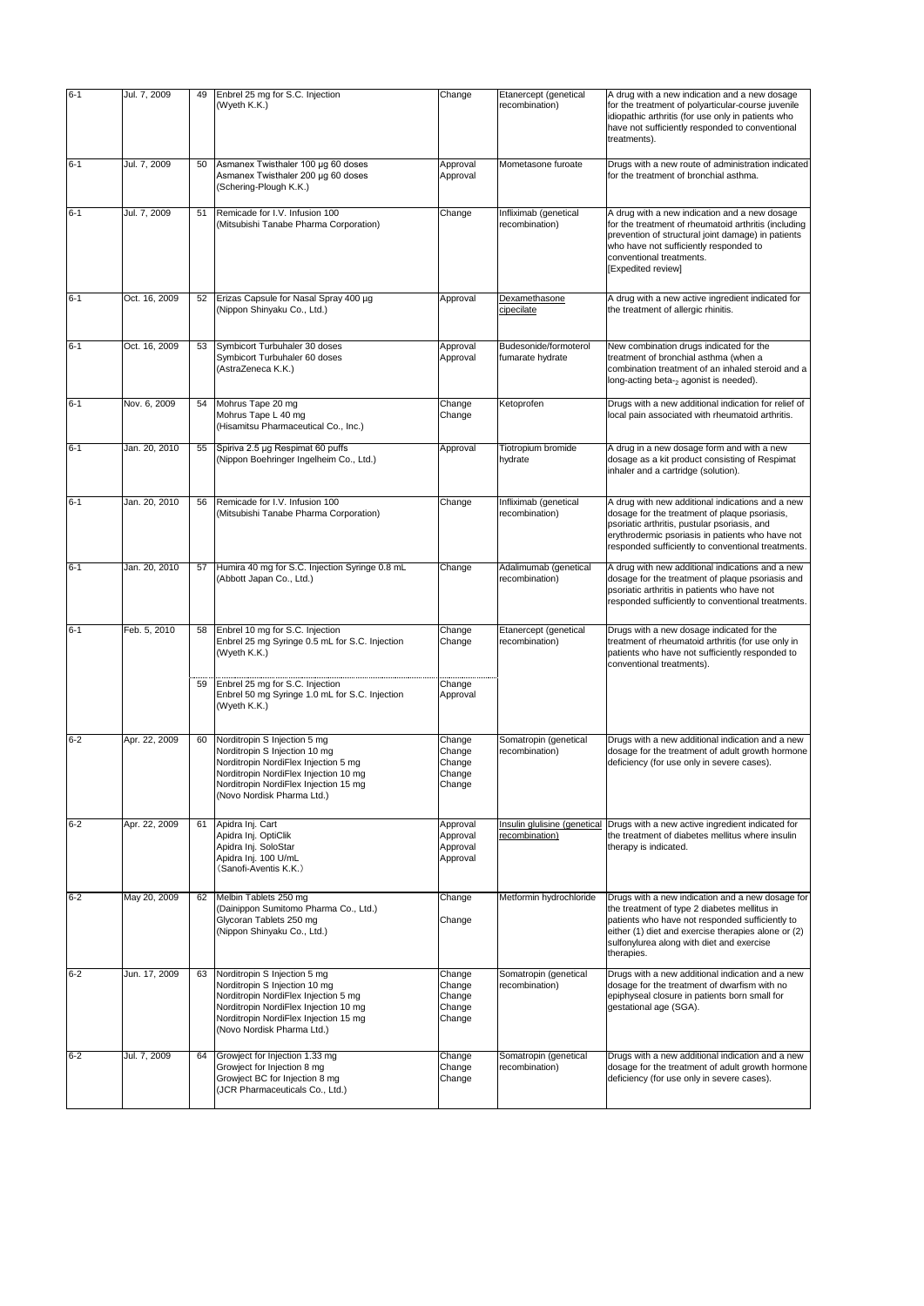| $6 - 1$ | Jul. 7, 2009  | 49 | Enbrel 25 mg for S.C. Injection<br>(Wyeth K.K.)                                                                                                                                                                       | Change                                         | Etanercept (genetical<br>recombination)        | A drug with a new indication and a new dosage<br>for the treatment of polyarticular-course juvenile                                                                                                                                                                   |
|---------|---------------|----|-----------------------------------------------------------------------------------------------------------------------------------------------------------------------------------------------------------------------|------------------------------------------------|------------------------------------------------|-----------------------------------------------------------------------------------------------------------------------------------------------------------------------------------------------------------------------------------------------------------------------|
|         |               |    |                                                                                                                                                                                                                       |                                                |                                                | idiopathic arthritis (for use only in patients who<br>have not sufficiently responded to conventional<br>treatments).                                                                                                                                                 |
| $6 - 1$ | Jul. 7, 2009  | 50 | Asmanex Twisthaler 100 µg 60 doses<br>Asmanex Twisthaler 200 µg 60 doses<br>(Schering-Plough K.K.)                                                                                                                    | Approval<br>Approval                           | Mometasone furoate                             | Drugs with a new route of administration indicated<br>for the treatment of bronchial asthma.                                                                                                                                                                          |
| $6 - 1$ | Jul. 7, 2009  | 51 | Remicade for I.V. Infusion 100<br>(Mitsubishi Tanabe Pharma Corporation)                                                                                                                                              | Change                                         | Infliximab (genetical<br>recombination)        | A drug with a new indication and a new dosage<br>for the treatment of rheumatoid arthritis (including<br>prevention of structural joint damage) in patients<br>who have not sufficiently responded to<br>conventional treatments.<br>[Expedited review]               |
| $6 - 1$ | Oct. 16, 2009 | 52 | Erizas Capsule for Nasal Spray 400 µg<br>(Nippon Shinyaku Co., Ltd.)                                                                                                                                                  | Approval                                       | Dexamethasone<br>cipecilate                    | A drug with a new active ingredient indicated for<br>the treatment of allergic rhinitis.                                                                                                                                                                              |
| $6 - 1$ | Oct. 16, 2009 | 53 | Symbicort Turbuhaler 30 doses<br>Symbicort Turbuhaler 60 doses<br>(AstraZeneca K.K.)                                                                                                                                  | Approval<br>Approval                           | Budesonide/formoterol<br>fumarate hydrate      | New combination drugs indicated for the<br>treatment of bronchial asthma (when a<br>combination treatment of an inhaled steroid and a<br>long-acting beta-2 agonist is needed).                                                                                       |
| $6 - 1$ | Nov. 6, 2009  | 54 | Mohrus Tape 20 mg<br>Mohrus Tape L 40 mg<br>(Hisamitsu Pharmaceutical Co., Inc.)                                                                                                                                      | Change<br>Change                               | Ketoprofen                                     | Drugs with a new additional indication for relief of<br>local pain associated with rheumatoid arthritis.                                                                                                                                                              |
| $6 - 1$ | Jan. 20, 2010 | 55 | Spiriva 2.5 µg Respimat 60 puffs<br>(Nippon Boehringer Ingelheim Co., Ltd.)                                                                                                                                           | Approval                                       | Tiotropium bromide<br>hydrate                  | A drug in a new dosage form and with a new<br>dosage as a kit product consisting of Respimat<br>inhaler and a cartridge (solution).                                                                                                                                   |
| $6 - 1$ | Jan. 20, 2010 | 56 | Remicade for I.V. Infusion 100<br>(Mitsubishi Tanabe Pharma Corporation)                                                                                                                                              | Change                                         | Infliximab (genetical<br>recombination)        | A drug with new additional indications and a new<br>dosage for the treatment of plaque psoriasis,<br>psoriatic arthritis, pustular psoriasis, and<br>erythrodermic psoriasis in patients who have not<br>responded sufficiently to conventional treatments.           |
| $6 - 1$ | Jan. 20, 2010 | 57 | Humira 40 mg for S.C. Injection Syringe 0.8 mL<br>(Abbott Japan Co., Ltd.)                                                                                                                                            | Change                                         | Adalimumab (genetical<br>recombination)        | A drug with new additional indications and a new<br>dosage for the treatment of plaque psoriasis and<br>psoriatic arthritis in patients who have not<br>responded sufficiently to conventional treatments.                                                            |
| $6 - 1$ | Feb. 5, 2010  | 58 | Enbrel 10 mg for S.C. Injection<br>Enbrel 25 mg Syringe 0.5 mL for S.C. Injection<br>(Wyeth K.K.)                                                                                                                     | Change<br>Change                               | Etanercept (genetical<br>recombination)        | Drugs with a new dosage indicated for the<br>treatment of rheumatoid arthritis (for use only in<br>patients who have not sufficiently responded to<br>conventional treatments).                                                                                       |
|         |               | 59 | Enbrel 25 mg for S.C. Injection<br>Enbrel 50 mg Syringe 1.0 mL for S.C. Injection<br>(Wyeth K.K.)                                                                                                                     | Change<br>Approval                             |                                                |                                                                                                                                                                                                                                                                       |
| $6 - 2$ | Apr. 22, 2009 | 60 | Norditropin S Injection 5 mg<br>Norditropin S Injection 10 mg<br>Norditropin NordiFlex Injection 5 mg<br>Norditropin NordiFlex Injection 10 mg<br>Norditropin NordiFlex Injection 15 mg<br>(Novo Nordisk Pharma Ltd.) | Change<br>Change<br>Change<br>Change<br>Change | Somatropin (genetical<br>recombination)        | Drugs with a new additional indication and a new<br>dosage for the treatment of adult growth hormone<br>deficiency (for use only in severe cases).                                                                                                                    |
| $6 - 2$ | Apr. 22, 2009 | 61 | Apidra Inj. Cart<br>Apidra Inj. OptiClik<br>Apidra Inj. SoloStar<br>Apidra Inj. 100 U/mL<br>(Sanofi-Aventis K.K.)                                                                                                     | Approval<br>Approval<br>Approval<br>Approval   | Insulin glulisine (genetical<br>recombination) | Drugs with a new active ingredient indicated for<br>the treatment of diabetes mellitus where insulin<br>therapy is indicated.                                                                                                                                         |
| $6 - 2$ | May 20, 2009  | 62 | Melbin Tablets 250 mg<br>(Dainippon Sumitomo Pharma Co., Ltd.)<br>Glycoran Tablets 250 mg<br>(Nippon Shinyaku Co., Ltd.)                                                                                              | Change<br>Change                               | Metformin hydrochloride                        | Drugs with a new indication and a new dosage for<br>the treatment of type 2 diabetes mellitus in<br>patients who have not responded sufficiently to<br>either (1) diet and exercise therapies alone or (2)<br>sulfonylurea along with diet and exercise<br>therapies. |
| $6 - 2$ | Jun. 17, 2009 | 63 | Norditropin S Injection 5 mg<br>Norditropin S Injection 10 mg<br>Norditropin NordiFlex Injection 5 mg<br>Norditropin NordiFlex Injection 10 mg<br>Norditropin NordiFlex Injection 15 mg<br>(Novo Nordisk Pharma Ltd.) | Change<br>Change<br>Change<br>Change<br>Change | Somatropin (genetical<br>recombination)        | Drugs with a new additional indication and a new<br>dosage for the treatment of dwarfism with no<br>epiphyseal closure in patients born small for<br>gestational age (SGA).                                                                                           |
| $6 - 2$ | Jul. 7, 2009  | 64 | Growject for Injection 1.33 mg<br>Growject for Injection 8 mg<br>Growject BC for Injection 8 mg<br>(JCR Pharmaceuticals Co., Ltd.)                                                                                    | Change<br>Change<br>Change                     | Somatropin (genetical<br>recombination)        | Drugs with a new additional indication and a new<br>dosage for the treatment of adult growth hormone<br>deficiency (for use only in severe cases).                                                                                                                    |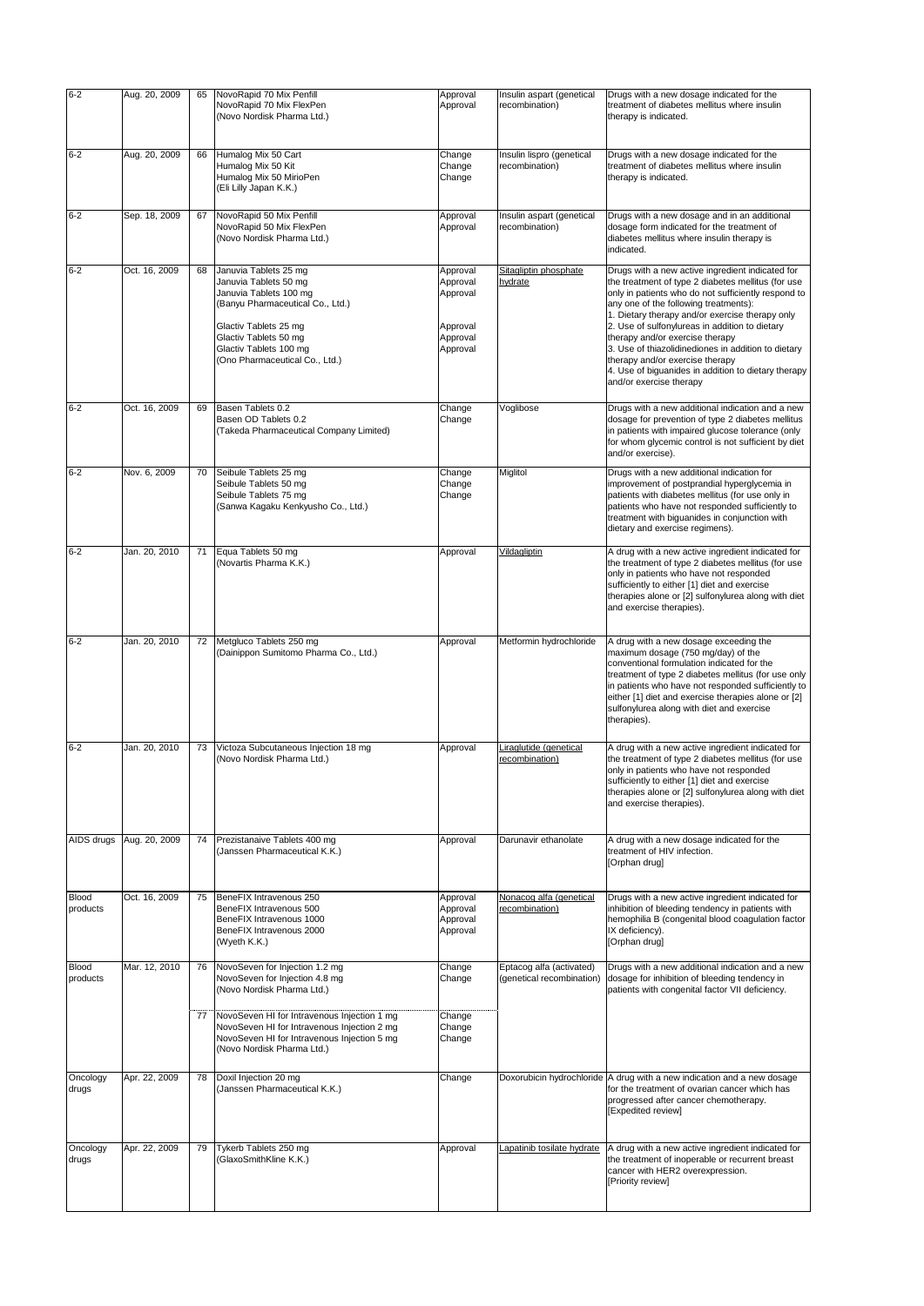| $6 - 2$                  | Aug. 20, 2009              | 65 | NovoRapid 70 Mix Penfill<br>NovoRapid 70 Mix FlexPen<br>(Novo Nordisk Pharma Ltd.)                                                                                                                                         | Approval<br>Approval                                                 | Insulin aspart (genetical<br>recombination)           | Drugs with a new dosage indicated for the<br>treatment of diabetes mellitus where insulin<br>therapy is indicated.                                                                                                                                                                                                                                                                                                                                                                                                         |
|--------------------------|----------------------------|----|----------------------------------------------------------------------------------------------------------------------------------------------------------------------------------------------------------------------------|----------------------------------------------------------------------|-------------------------------------------------------|----------------------------------------------------------------------------------------------------------------------------------------------------------------------------------------------------------------------------------------------------------------------------------------------------------------------------------------------------------------------------------------------------------------------------------------------------------------------------------------------------------------------------|
| $6 - 2$                  | Aug. 20, 2009              | 66 | Humalog Mix 50 Cart<br>Humalog Mix 50 Kit<br>Humalog Mix 50 MirioPen<br>(Eli Lilly Japan K.K.)                                                                                                                             | Change<br>Change<br>Change                                           | Insulin lispro (genetical<br>recombination)           | Drugs with a new dosage indicated for the<br>treatment of diabetes mellitus where insulin<br>therapy is indicated.                                                                                                                                                                                                                                                                                                                                                                                                         |
| $6 - 2$                  | Sep. 18, 2009              | 67 | NovoRapid 50 Mix Penfill<br>NovoRapid 50 Mix FlexPen<br>(Novo Nordisk Pharma Ltd.)                                                                                                                                         | Approval<br>Approval                                                 | Insulin aspart (genetical<br>recombination)           | Drugs with a new dosage and in an additional<br>dosage form indicated for the treatment of<br>diabetes mellitus where insulin therapy is<br>indicated.                                                                                                                                                                                                                                                                                                                                                                     |
| $6 - 2$                  | Oct. 16, 2009              | 68 | Januvia Tablets 25 mg<br>Januvia Tablets 50 mg<br>Januvia Tablets 100 mg<br>(Banyu Pharmaceutical Co., Ltd.)<br>Glactiv Tablets 25 mg<br>Glactiv Tablets 50 mg<br>Glactiv Tablets 100 mg<br>(Ono Pharmaceutical Co., Ltd.) | Approval<br>Approval<br>Approval<br>Approval<br>Approval<br>Approval | Sitagliptin phosphate<br>hydrate                      | Drugs with a new active ingredient indicated for<br>the treatment of type 2 diabetes mellitus (for use<br>only in patients who do not sufficiently respond to<br>any one of the following treatments):<br>1. Dietary therapy and/or exercise therapy only<br>2. Use of sulfonylureas in addition to dietary<br>therapy and/or exercise therapy<br>3. Use of thiazolidinediones in addition to dietary<br>therapy and/or exercise therapy<br>4. Use of biguanides in addition to dietary therapy<br>and/or exercise therapy |
| $6 - 2$                  | Oct. 16, 2009              | 69 | Basen Tablets 0.2<br>Basen OD Tablets 0.2<br>(Takeda Pharmaceutical Company Limited)                                                                                                                                       | Change<br>Change                                                     | Voglibose                                             | Drugs with a new additional indication and a new<br>dosage for prevention of type 2 diabetes mellitus<br>in patients with impaired glucose tolerance (only<br>for whom glycemic control is not sufficient by diet<br>and/or exercise).                                                                                                                                                                                                                                                                                     |
| $6 - 2$                  | Nov. 6, 2009               | 70 | Seibule Tablets 25 mg<br>Seibule Tablets 50 mg<br>Seibule Tablets 75 mg<br>(Sanwa Kagaku Kenkyusho Co., Ltd.)                                                                                                              | Change<br>Change<br>Change                                           | Miglitol                                              | Drugs with a new additional indication for<br>improvement of postprandial hyperglycemia in<br>patients with diabetes mellitus (for use only in<br>patients who have not responded sufficiently to<br>treatment with biguanides in conjunction with<br>dietary and exercise regimens).                                                                                                                                                                                                                                      |
| $6 - 2$                  | Jan. 20, 2010              | 71 | Equa Tablets 50 mg<br>(Novartis Pharma K.K.)                                                                                                                                                                               | Approval                                                             | <b>Vildagliptin</b>                                   | A drug with a new active ingredient indicated for<br>the treatment of type 2 diabetes mellitus (for use<br>only in patients who have not responded<br>sufficiently to either [1] diet and exercise<br>therapies alone or [2] sulfonylurea along with diet<br>and exercise therapies).                                                                                                                                                                                                                                      |
| $6 - 2$                  | Jan. 20, 2010              | 72 | Metgluco Tablets 250 mg<br>(Dainippon Sumitomo Pharma Co., Ltd.)                                                                                                                                                           | Approval                                                             | Metformin hydrochloride                               | A drug with a new dosage exceeding the<br>maximum dosage (750 mg/day) of the<br>conventional formulation indicated for the<br>treatment of type 2 diabetes mellitus (for use only<br>in patients who have not responded sufficiently to<br>either [1] diet and exercise therapies alone or [2]<br>sulfonylurea along with diet and exercise<br>therapies).                                                                                                                                                                 |
| $6 - 2$                  | Jan. 20, 2010              | 73 | Victoza Subcutaneous Injection 18 mg<br>(Novo Nordisk Pharma Ltd.)                                                                                                                                                         | Approval                                                             | Liraglutide (genetical<br>recombination)              | A drug with a new active ingredient indicated for<br>the treatment of type 2 diabetes mellitus (for use<br>only in patients who have not responded<br>sufficiently to either [1] diet and exercise<br>therapies alone or [2] sulfonylurea along with diet<br>and exercise therapies).                                                                                                                                                                                                                                      |
|                          | AIDS drugs   Aug. 20, 2009 | 74 | Prezistanaive Tablets 400 mg<br>(Janssen Pharmaceutical K.K.)                                                                                                                                                              | Approval                                                             | Darunavir ethanolate                                  | A drug with a new dosage indicated for the<br>treatment of HIV infection.<br>[Orphan drug]                                                                                                                                                                                                                                                                                                                                                                                                                                 |
| <b>Blood</b><br>products | Oct. 16, 2009              | 75 | BeneFIX Intravenous 250<br>BeneFIX Intravenous 500<br>BeneFIX Intravenous 1000<br>BeneFIX Intravenous 2000<br>(Wyeth K.K.)                                                                                                 | Approval<br>Approval<br>Approval<br>Approval                         | Nonacog alfa (genetical<br>recombination)             | Drugs with a new active ingredient indicated for<br>inhibition of bleeding tendency in patients with<br>hemophilia B (congenital blood coagulation factor<br>IX deficiency).<br>[Orphan drug]                                                                                                                                                                                                                                                                                                                              |
| <b>Blood</b><br>products | Mar. 12, 2010              | 76 | NovoSeven for Injection 1.2 mg<br>NovoSeven for Injection 4.8 mg<br>(Novo Nordisk Pharma Ltd.)                                                                                                                             | Change<br>Change                                                     | Eptacog alfa (activated)<br>(genetical recombination) | Drugs with a new additional indication and a new<br>dosage for inhibition of bleeding tendency in<br>patients with congenital factor VII deficiency.                                                                                                                                                                                                                                                                                                                                                                       |
|                          |                            | 77 | NovoSeven HI for Intravenous Injection 1 mg<br>NovoSeven HI for Intravenous Injection 2 mg<br>NovoSeven HI for Intravenous Injection 5 mg<br>(Novo Nordisk Pharma Ltd.)                                                    | Change<br>Change<br>Change                                           |                                                       |                                                                                                                                                                                                                                                                                                                                                                                                                                                                                                                            |
| Oncology<br>drugs        | Apr. 22, 2009              | 78 | Doxil Injection 20 mg<br>(Janssen Pharmaceutical K.K.)                                                                                                                                                                     | Change                                                               |                                                       | Doxorubicin hydrochloride A drug with a new indication and a new dosage<br>for the treatment of ovarian cancer which has<br>progressed after cancer chemotherapy.<br>[Expedited review]                                                                                                                                                                                                                                                                                                                                    |
| Oncology<br>drugs        | Apr. 22, 2009              | 79 | Tykerb Tablets 250 mg<br>(GlaxoSmithKline K.K.)                                                                                                                                                                            | Approval                                                             | Lapatinib tosilate hydrate                            | A drug with a new active ingredient indicated for<br>the treatment of inoperable or recurrent breast<br>cancer with HER2 overexpression.<br>[Priority review]                                                                                                                                                                                                                                                                                                                                                              |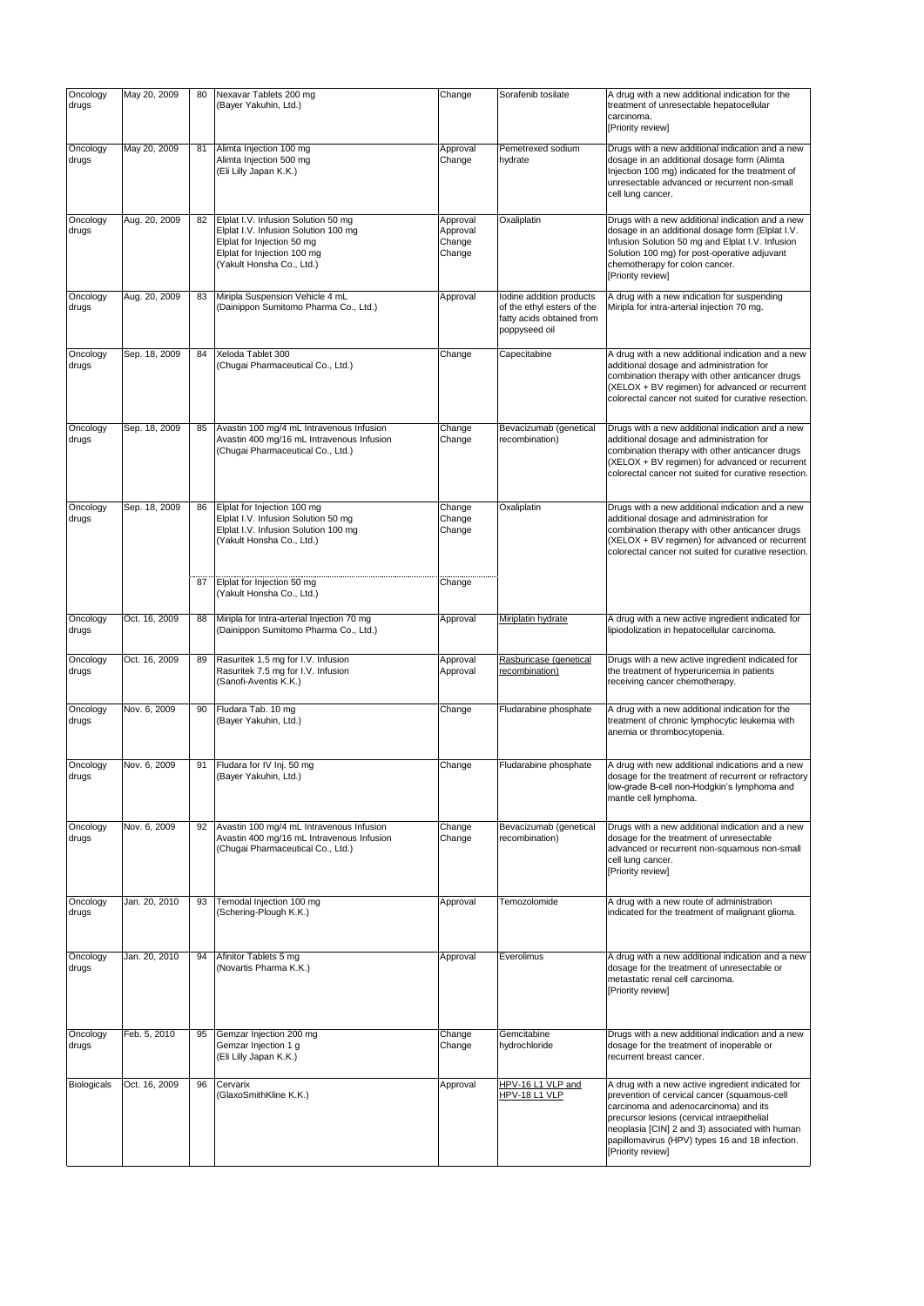| Oncology<br>drugs  | May 20, 2009  | 80 | Nexavar Tablets 200 mg<br>(Bayer Yakuhin, Ltd.)                                                                                                                       | Change                                   | Sorafenib tosilate                                                                                   | A drug with a new additional indication for the<br>treatment of unresectable hepatocellular<br>carcinoma.<br>[Priority review]                                                                                                                                                                                      |
|--------------------|---------------|----|-----------------------------------------------------------------------------------------------------------------------------------------------------------------------|------------------------------------------|------------------------------------------------------------------------------------------------------|---------------------------------------------------------------------------------------------------------------------------------------------------------------------------------------------------------------------------------------------------------------------------------------------------------------------|
| Oncology<br>drugs  | May 20, 2009  | 81 | Alimta Injection 100 mg<br>Alimta Injection 500 mg<br>(Eli Lilly Japan K.K.)                                                                                          | Approval<br>Change                       | Pemetrexed sodium<br>hydrate                                                                         | Drugs with a new additional indication and a new<br>dosage in an additional dosage form (Alimta<br>Injection 100 mg) indicated for the treatment of<br>unresectable advanced or recurrent non-small<br>cell lung cancer.                                                                                            |
| Oncology<br>drugs  | Aug. 20, 2009 | 82 | Elplat I.V. Infusion Solution 50 mg<br>Elplat I.V. Infusion Solution 100 mg<br>Elplat for Injection 50 mg<br>Elplat for Injection 100 mg<br>(Yakult Honsha Co., Ltd.) | Approval<br>Approval<br>Change<br>Change | Oxaliplatin                                                                                          | Drugs with a new additional indication and a new<br>dosage in an additional dosage form (Elplat I.V.<br>Infusion Solution 50 mg and Elplat I.V. Infusion<br>Solution 100 mg) for post-operative adjuvant<br>chemotherapy for colon cancer.<br>[Priority review]                                                     |
| Oncology<br>drugs  | Aug. 20, 2009 | 83 | Miripla Suspension Vehicle 4 mL<br>(Dainippon Sumitomo Pharma Co., Ltd.)                                                                                              | Approval                                 | Iodine addition products<br>of the ethyl esters of the<br>fatty acids obtained from<br>poppyseed oil | A drug with a new indication for suspending<br>Miripla for intra-arterial injection 70 mg.                                                                                                                                                                                                                          |
| Oncology<br>drugs  | Sep. 18, 2009 | 84 | Xeloda Tablet 300<br>(Chugai Pharmaceutical Co., Ltd.)                                                                                                                | Change                                   | Capecitabine                                                                                         | A drug with a new additional indication and a new<br>additional dosage and administration for<br>combination therapy with other anticancer drugs<br>(XELOX + BV regimen) for advanced or recurrent<br>colorectal cancer not suited for curative resection.                                                          |
| Oncology<br>drugs  | Sep. 18, 2009 | 85 | Avastin 100 mg/4 mL Intravenous Infusion<br>Avastin 400 mg/16 mL Intravenous Infusion<br>(Chugai Pharmaceutical Co., Ltd.)                                            | Change<br>Change                         | Bevacizumab (genetical<br>recombination)                                                             | Drugs with a new additional indication and a new<br>additional dosage and administration for<br>combination therapy with other anticancer drugs<br>(XELOX + BV regimen) for advanced or recurrent<br>colorectal cancer not suited for curative resection.                                                           |
| Oncology<br>drugs  | Sep. 18, 2009 | 86 | Elplat for Injection 100 mg<br>Elplat I.V. Infusion Solution 50 mg<br>Elplat I.V. Infusion Solution 100 mg<br>(Yakult Honsha Co., Ltd.)                               | Change<br>Change<br>Change               | Oxaliplatin                                                                                          | Drugs with a new additional indication and a new<br>additional dosage and administration for<br>combination therapy with other anticancer drugs<br>(XELOX + BV regimen) for advanced or recurrent<br>colorectal cancer not suited for curative resection.                                                           |
|                    |               | 87 | Elplat for Injection 50 mg<br>(Yakult Honsha Co., Ltd.)                                                                                                               | Change                                   |                                                                                                      |                                                                                                                                                                                                                                                                                                                     |
| Oncology<br>drugs  | Oct. 16, 2009 | 88 | Miripla for Intra-arterial Injection 70 mg<br>(Dainippon Sumitomo Pharma Co., Ltd.)                                                                                   | Approval                                 | Miriplatin hydrate                                                                                   | A drug with a new active ingredient indicated for<br>lipiodolization in hepatocellular carcinoma.                                                                                                                                                                                                                   |
| Oncology<br>drugs  | Oct. 16, 2009 | 89 | Rasuritek 1.5 mg for I.V. Infusion<br>Rasuritek 7.5 mg for I.V. Infusion<br>(Sanofi-Aventis K.K.)                                                                     | Approval<br>Approval                     | Rasburicase (genetical<br>recombination)                                                             | Drugs with a new active ingredient indicated for<br>the treatment of hyperuricemia in patients<br>receiving cancer chemotherapy.                                                                                                                                                                                    |
| Oncology<br>drugs  | Nov. 6, 2009  | 90 | Fludara Tab. 10 mg<br>(Bayer Yakuhin, Ltd.)                                                                                                                           | Change                                   | Fludarabine phosphate                                                                                | A drug with a new additional indication for the<br>treatment of chronic lymphocytic leukemia with<br>anemia or thrombocytopenia.                                                                                                                                                                                    |
| Oncology<br>drugs  | Nov. 6, 2009  | 91 | Fludara for IV Inj. 50 mg<br>(Bayer Yakuhin, Ltd.)                                                                                                                    | Change                                   | Fludarabine phosphate                                                                                | A drug with new additional indications and a new<br>dosage for the treatment of recurrent or refractory<br>low-grade B-cell non-Hodgkin's lymphoma and<br>mantle cell lymphoma.                                                                                                                                     |
| Oncology<br>drugs  | Nov. 6, 2009  | 92 | Avastin 100 mg/4 mL Intravenous Infusion<br>Avastin 400 mg/16 mL Intravenous Infusion<br>(Chugai Pharmaceutical Co., Ltd.)                                            | Change<br>Change                         | Bevacizumab (genetical<br>recombination)                                                             | Drugs with a new additional indication and a new<br>dosage for the treatment of unresectable<br>advanced or recurrent non-squamous non-small<br>cell lung cancer.<br>[Priority review]                                                                                                                              |
| Oncology<br>drugs  | Jan. 20, 2010 | 93 | Temodal Injection 100 mg<br>(Schering-Plough K.K.)                                                                                                                    | Approval                                 | Temozolomide                                                                                         | A drug with a new route of administration<br>indicated for the treatment of malignant glioma.                                                                                                                                                                                                                       |
| Oncology<br>drugs  | Jan. 20, 2010 | 94 | Afinitor Tablets 5 mg<br>(Novartis Pharma K.K.)                                                                                                                       | Approval                                 | Everolimus                                                                                           | A drug with a new additional indication and a new<br>dosage for the treatment of unresectable or<br>metastatic renal cell carcinoma.<br>[Priority review]                                                                                                                                                           |
| Oncology<br>drugs  | Feb. 5, 2010  | 95 | Gemzar Injection 200 mg<br>Gemzar Injection 1 g<br>(Eli Lilly Japan K.K.)                                                                                             | Change<br>Change                         | Gemcitabine<br>hydrochloride                                                                         | Drugs with a new additional indication and a new<br>dosage for the treatment of inoperable or<br>recurrent breast cancer.                                                                                                                                                                                           |
| <b>Biologicals</b> | Oct. 16, 2009 | 96 | Cervarix<br>(GlaxoSmithKline K.K.)                                                                                                                                    | Approval                                 | HPV-16 L1 VLP and<br>HPV-18 L1 VLP                                                                   | A drug with a new active ingredient indicated for<br>prevention of cervical cancer (squamous-cell<br>carcinoma and adenocarcinoma) and its<br>precursor lesions (cervical intraepithelial<br>neoplasia [CIN] 2 and 3) associated with human<br>papillomavirus (HPV) types 16 and 18 infection.<br>[Priority review] |